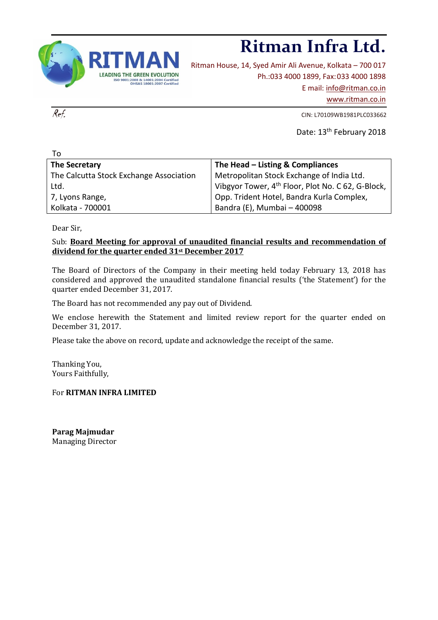

# **Ritman Infra Ltd.**

Ritman House, 14, Syed Amir Ali Avenue, Kolkata – 700 017 Ph.:033 4000 1899, Fax:033 4000 1898 E mail: [info@ritman.co.in](mailto:info@ritman.co.in) [www.ritman.co.in](http://www.ritman.co.in/)

 $Ref.$  CIN: L70109WB1981PLC033662

Date: 13<sup>th</sup> February 2018

| Τo                                      |                                                               |
|-----------------------------------------|---------------------------------------------------------------|
| The Secretary                           | The Head - Listing & Compliances                              |
| The Calcutta Stock Exchange Association | Metropolitan Stock Exchange of India Ltd.                     |
| Ltd.                                    | Vibgyor Tower, 4 <sup>th</sup> Floor, Plot No. C 62, G-Block, |
| 7, Lyons Range,                         | Opp. Trident Hotel, Bandra Kurla Complex,                     |
| Kolkata - 700001                        | Bandra (E), Mumbai - 400098                                   |

Dear Sir,

## Sub: **Board Meeting for approval of unaudited financial results and recommendation of dividend for the quarter ended 31st December 2017**

The Board of Directors of the Company in their meeting held today February 13, 2018 has considered and approved the unaudited standalone financial results ('the Statement') for the quarter ended December 31, 2017.

The Board has not recommended any pay out of Dividend.

We enclose herewith the Statement and limited review report for the quarter ended on December 31, 2017.

Please take the above on record, update and acknowledge the receipt of the same.

Thanking You, Yours Faithfully,

For **RITMAN INFRA LIMITED**

**Parag Majmudar** Managing Director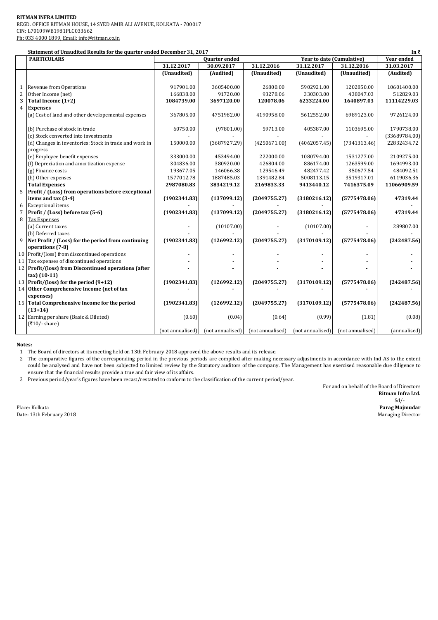#### **RITMAN INFRA LIMITED** REGD. OFFICE RITMAN HOUSE, 14 SYED AMIR ALI AVENUE, KOLKATA - 700017 CIN: L70109WB1981PLC033662 Ph: 033 4000 1899, Email: info@ritman.co.in

| Statement of Unaudited Results for the quarter ended December 31, 2017<br>In₹ |                                                           |                  |                  |                  |                           |                  |                   |  |  |
|-------------------------------------------------------------------------------|-----------------------------------------------------------|------------------|------------------|------------------|---------------------------|------------------|-------------------|--|--|
|                                                                               | <b>PARTICULARS</b>                                        | Quarter ended    |                  |                  | Year to date (Cumulative) |                  | <b>Year ended</b> |  |  |
|                                                                               |                                                           | 31.12.2017       | 30.09.2017       | 31.12.2016       | 31.12.2017                | 31.12.2016       | 31.03.2017        |  |  |
|                                                                               |                                                           | (Unaudited)      | (Audited)        | (Unaudited)      | (Unaudited)               | (Unaudited)      | (Audited)         |  |  |
|                                                                               |                                                           |                  |                  |                  |                           |                  |                   |  |  |
| $\mathbf{1}$                                                                  | Revenue from Operations                                   | 917901.00        | 3605400.00       | 26800.00         | 5902921.00                | 1202850.00       | 10601400.00       |  |  |
| $\sqrt{2}$                                                                    | Other Income (net)                                        | 166838.00        | 91720.00         | 93278.06         | 330303.00                 | 438047.03        | 512829.03         |  |  |
| 3                                                                             | Total Income (1+2)                                        | 1084739.00       | 3697120.00       | 120078.06        | 6233224.00                | 1640897.03       | 11114229.03       |  |  |
| $\overline{4}$                                                                | <b>Expenses</b>                                           |                  |                  |                  |                           |                  |                   |  |  |
|                                                                               | (a) Cost of land and other developemental expenses        | 367805.00        | 4751982.00       | 4190958.00       | 5612552.00                | 6989123.00       | 9726124.00        |  |  |
|                                                                               |                                                           |                  |                  |                  |                           |                  |                   |  |  |
|                                                                               | (b) Purchase of stock in trade                            | 60750.00         | (97801.00)       | 59713.00         | 405387.00                 | 1103695.00       | 1790738.00        |  |  |
|                                                                               | (c) Stock converted into investments                      |                  |                  |                  |                           |                  | (33689784.00)     |  |  |
|                                                                               | (d) Changes in inventories: Stock in trade and work in    | 150000.00        | (3687927.29)     | (4250671.00)     | (4062057.45)              | (7341313.46)     | 22832434.72       |  |  |
|                                                                               | progress                                                  |                  |                  |                  |                           |                  |                   |  |  |
|                                                                               | (e) Employee benefit expenses                             | 333000.00        | 453494.00        | 222000.00        | 1080794.00                | 1531277.00       | 2109275.00        |  |  |
|                                                                               | (f) Depreciation and amortization expense                 | 304836.00        | 380920.00        | 426804.00        | 886174.00                 | 1263599.00       | 1694993.00        |  |  |
|                                                                               | (g) Finance costs                                         | 193677.05        | 146066.38        | 129546.49        | 482477.42                 | 350677.54        | 484092.51         |  |  |
|                                                                               | (h) Other expenses                                        | 1577012.78       | 1887485.03       | 1391482.84       | 5008113.15                | 3519317.01       | 6119036.36        |  |  |
|                                                                               | <b>Total Expenses</b>                                     | 2987080.83       | 3834219.12       | 2169833.33       | 9413440.12                | 7416375.09       | 11066909.59       |  |  |
| 5                                                                             | Profit / (Loss) from operations before exceptional        |                  |                  |                  |                           |                  |                   |  |  |
|                                                                               | items and tax (3-4)                                       | (1902341.83)     | (137099.12)      | (2049755.27)     | (3180216.12)              | (5775478.06)     | 47319.44          |  |  |
| 6                                                                             | <b>Exceptional</b> items                                  |                  |                  |                  |                           |                  |                   |  |  |
| $\overline{7}$                                                                | Profit / (Loss) before tax (5-6)                          | (1902341.83)     | (137099.12)      | (2049755.27)     | (3180216.12)              | (5775478.06)     | 47319.44          |  |  |
| 8                                                                             | <b>Tax Expenses</b>                                       |                  |                  |                  |                           |                  |                   |  |  |
|                                                                               | (a) Current taxes                                         |                  | (10107.00)       |                  | (10107.00)                |                  | 289807.00         |  |  |
|                                                                               | (b) Deferred taxes                                        |                  |                  |                  |                           |                  |                   |  |  |
| 9                                                                             | Net Profit / (Loss) for the period from continuing        | (1902341.83)     | (126992.12)      | (2049755.27)     | (3170109.12)              | (5775478.06)     | (242487.56)       |  |  |
|                                                                               | operations (7-8)                                          |                  |                  |                  |                           |                  |                   |  |  |
|                                                                               | 10 Profit/(loss) from discontinued operations             |                  |                  |                  |                           |                  |                   |  |  |
| 11                                                                            | Tax expenses of discontinued operations                   |                  |                  |                  |                           |                  |                   |  |  |
|                                                                               | 12 Profit/(loss) from Discontinued operations (after      |                  |                  |                  |                           |                  |                   |  |  |
|                                                                               | $\max(10-11)$                                             |                  |                  |                  |                           |                  |                   |  |  |
|                                                                               | 13 Profit/(loss) for the period (9+12)                    | (1902341.83)     | (126992.12)      | (2049755.27)     | (3170109.12)              | (5775478.06)     | (242487.56)       |  |  |
|                                                                               | 14 Other Comprehensive Income (net of tax                 |                  |                  |                  |                           |                  |                   |  |  |
|                                                                               | expenses)                                                 |                  | (126992.12)      |                  |                           |                  |                   |  |  |
|                                                                               | 15 Total Comprehensive Income for the period<br>$(13+14)$ | (1902341.83)     |                  | (2049755.27)     | (3170109.12)              | (5775478.06)     | (242487.56)       |  |  |
|                                                                               |                                                           |                  |                  |                  |                           |                  |                   |  |  |
|                                                                               | 12 Earning per share (Basic & Diluted)<br>$(710/- share)$ | (0.60)           | (0.04)           | (0.64)           | (0.99)                    | (1.81)           | (0.08)            |  |  |
|                                                                               |                                                           | (not annualised) | (not annualised) | (not annualised) | (not annualised)          | (not annualised) | (annualised)      |  |  |
|                                                                               |                                                           |                  |                  |                  |                           |                  |                   |  |  |

#### **Notes:**

1 The Board of directors at its meeting held on 13th February 2018 approved the above results and its release.

2 The comparative figures of the corresponding period in the previous periods are compiled after making necessary adjustments in accordance with Ind AS to the extent could be analysed and have not been subjected to limited review by the Statutory auditors of the company. The Management has exercised reasonable due diligence to ensure that the financial results provide a true and fair view of its affairs.

3 Previous period/year's figures have been recast/restated to conform to the classification of the current period/year.

For and on behalf of the Board of Directors **Ritman Infra Ltd.** Sd/- Place: Kolkata **Parag Majmudar**

Date: 13th February 2018